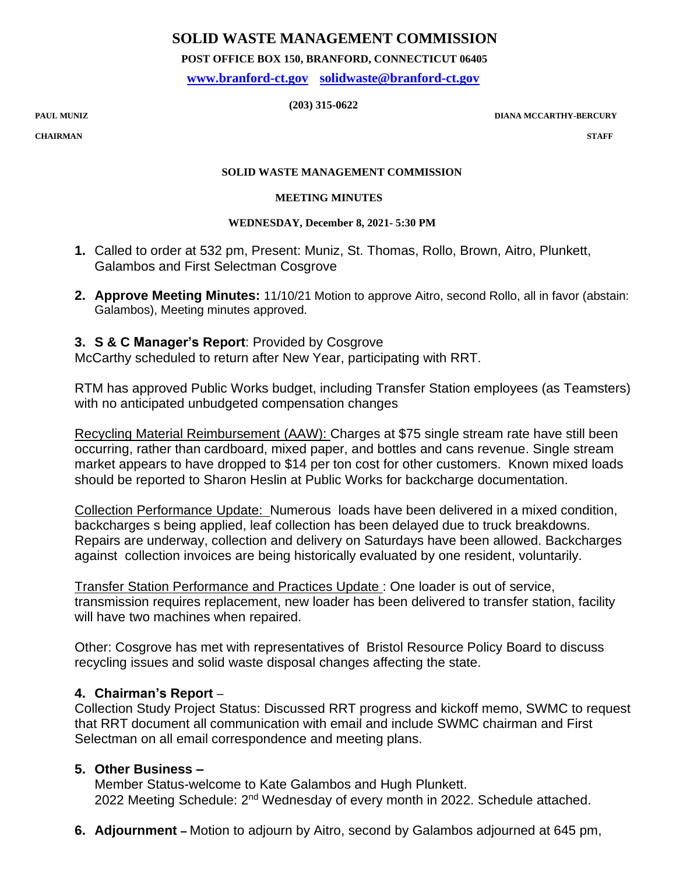## **SOLID WASTE MANAGEMENT COMMISSION**

 **POST OFFICE BOX 150, BRANFORD, CONNECTICUT 06405**

 **[www.branford-ct.gov](http://www.branford-ct.gov/) [solidwaste@branford-ct.gov](mailto:solidwaste@branford-ct.gov)**

 **(203) 315-0622 PAUL MUNIZ** 

**PAUL MUNIZ DIANA MCCARTHY-BERCURY**

**CHAIRMAN STAFF**

#### **SOLID WASTE MANAGEMENT COMMISSION**

#### **MEETING MINUTES**

#### **WEDNESDAY, December 8, 2021- 5:30 PM**

- **1.** Called to order at 532 pm, Present: Muniz, St. Thomas, Rollo, Brown, Aitro, Plunkett, Galambos and First Selectman Cosgrove
- **2. Approve Meeting Minutes:** 11/10/21 Motion to approve Aitro, second Rollo, all in favor (abstain: Galambos), Meeting minutes approved.

## **3. S & C Manager's Report**: Provided by Cosgrove

McCarthy scheduled to return after New Year, participating with RRT.

RTM has approved Public Works budget, including Transfer Station employees (as Teamsters) with no anticipated unbudgeted compensation changes

Recycling Material Reimbursement (AAW): Charges at \$75 single stream rate have still been occurring, rather than cardboard, mixed paper, and bottles and cans revenue. Single stream market appears to have dropped to \$14 per ton cost for other customers. Known mixed loads should be reported to Sharon Heslin at Public Works for backcharge documentation.

Collection Performance Update: Numerous loads have been delivered in a mixed condition, backcharges s being applied, leaf collection has been delayed due to truck breakdowns. Repairs are underway, collection and delivery on Saturdays have been allowed. Backcharges against collection invoices are being historically evaluated by one resident, voluntarily.

Transfer Station Performance and Practices Update : One loader is out of service, transmission requires replacement, new loader has been delivered to transfer station, facility will have two machines when repaired.

Other: Cosgrove has met with representatives of Bristol Resource Policy Board to discuss recycling issues and solid waste disposal changes affecting the state.

## **4. Chairman's Report** –

Collection Study Project Status: Discussed RRT progress and kickoff memo, SWMC to request that RRT document all communication with email and include SWMC chairman and First Selectman on all email correspondence and meeting plans.

# **5. Other Business –**

Member Status-welcome to Kate Galambos and Hugh Plunkett. 2022 Meeting Schedule: 2<sup>nd</sup> Wednesday of every month in 2022. Schedule attached.

**6. Adjournment –** Motion to adjourn by Aitro, second by Galambos adjourned at 645 pm,